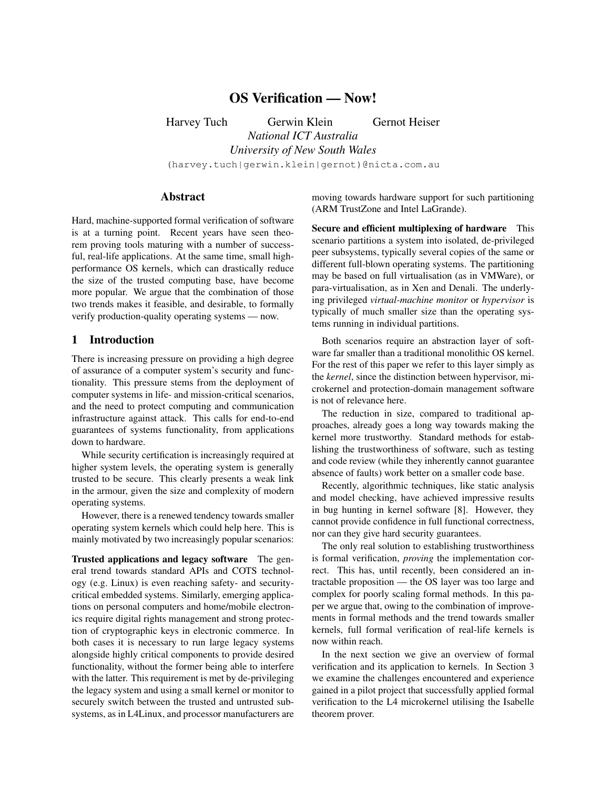# OS Verification — Now!

Harvey Tuch Gerwin Klein Gernot Heiser *National ICT Australia University of New South Wales* (harvey.tuch|gerwin.klein|gernot)@nicta.com.au

## Abstract

Hard, machine-supported formal verification of software is at a turning point. Recent years have seen theorem proving tools maturing with a number of successful, real-life applications. At the same time, small highperformance OS kernels, which can drastically reduce the size of the trusted computing base, have become more popular. We argue that the combination of those two trends makes it feasible, and desirable, to formally verify production-quality operating systems — now.

### 1 Introduction

There is increasing pressure on providing a high degree of assurance of a computer system's security and functionality. This pressure stems from the deployment of computer systems in life- and mission-critical scenarios, and the need to protect computing and communication infrastructure against attack. This calls for end-to-end guarantees of systems functionality, from applications down to hardware.

While security certification is increasingly required at higher system levels, the operating system is generally trusted to be secure. This clearly presents a weak link in the armour, given the size and complexity of modern operating systems.

However, there is a renewed tendency towards smaller operating system kernels which could help here. This is mainly motivated by two increasingly popular scenarios:

Trusted applications and legacy software The general trend towards standard APIs and COTS technology (e.g. Linux) is even reaching safety- and securitycritical embedded systems. Similarly, emerging applications on personal computers and home/mobile electronics require digital rights management and strong protection of cryptographic keys in electronic commerce. In both cases it is necessary to run large legacy systems alongside highly critical components to provide desired functionality, without the former being able to interfere with the latter. This requirement is met by de-privileging the legacy system and using a small kernel or monitor to securely switch between the trusted and untrusted subsystems, as in L4Linux, and processor manufacturers are moving towards hardware support for such partitioning (ARM TrustZone and Intel LaGrande).

Secure and efficient multiplexing of hardware This scenario partitions a system into isolated, de-privileged peer subsystems, typically several copies of the same or different full-blown operating systems. The partitioning may be based on full virtualisation (as in VMWare), or para-virtualisation, as in Xen and Denali. The underlying privileged *virtual-machine monitor* or *hypervisor* is typically of much smaller size than the operating systems running in individual partitions.

Both scenarios require an abstraction layer of software far smaller than a traditional monolithic OS kernel. For the rest of this paper we refer to this layer simply as the *kernel*, since the distinction between hypervisor, microkernel and protection-domain management software is not of relevance here.

The reduction in size, compared to traditional approaches, already goes a long way towards making the kernel more trustworthy. Standard methods for establishing the trustworthiness of software, such as testing and code review (while they inherently cannot guarantee absence of faults) work better on a smaller code base.

Recently, algorithmic techniques, like static analysis and model checking, have achieved impressive results in bug hunting in kernel software [8]. However, they cannot provide confidence in full functional correctness, nor can they give hard security guarantees.

The only real solution to establishing trustworthiness is formal verification, *proving* the implementation correct. This has, until recently, been considered an intractable proposition — the OS layer was too large and complex for poorly scaling formal methods. In this paper we argue that, owing to the combination of improvements in formal methods and the trend towards smaller kernels, full formal verification of real-life kernels is now within reach.

In the next section we give an overview of formal verification and its application to kernels. In Section 3 we examine the challenges encountered and experience gained in a pilot project that successfully applied formal verification to the L4 microkernel utilising the Isabelle theorem prover.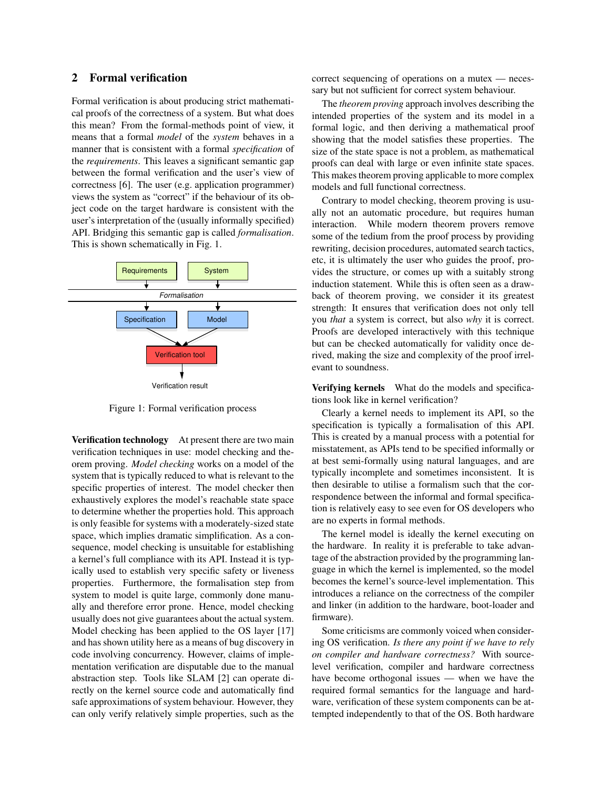### 2 Formal verification

Formal verification is about producing strict mathematical proofs of the correctness of a system. But what does this mean? From the formal-methods point of view, it means that a formal *model* of the *system* behaves in a manner that is consistent with a formal *specification* of the *requirements*. This leaves a significant semantic gap between the formal verification and the user's view of correctness [6]. The user (e.g. application programmer) views the system as "correct" if the behaviour of its object code on the target hardware is consistent with the user's interpretation of the (usually informally specified) API. Bridging this semantic gap is called *formalisation*. This is shown schematically in Fig. 1.



Figure 1: Formal verification process

Verification technology At present there are two main verification techniques in use: model checking and theorem proving. *Model checking* works on a model of the system that is typically reduced to what is relevant to the specific properties of interest. The model checker then exhaustively explores the model's reachable state space to determine whether the properties hold. This approach is only feasible for systems with a moderately-sized state space, which implies dramatic simplification. As a consequence, model checking is unsuitable for establishing a kernel's full compliance with its API. Instead it is typically used to establish very specific safety or liveness properties. Furthermore, the formalisation step from system to model is quite large, commonly done manually and therefore error prone. Hence, model checking usually does not give guarantees about the actual system. Model checking has been applied to the OS layer [17] and has shown utility here as a means of bug discovery in code involving concurrency. However, claims of implementation verification are disputable due to the manual abstraction step. Tools like SLAM [2] can operate directly on the kernel source code and automatically find safe approximations of system behaviour. However, they can only verify relatively simple properties, such as the correct sequencing of operations on a mutex — necessary but not sufficient for correct system behaviour.

The *theorem proving* approach involves describing the intended properties of the system and its model in a formal logic, and then deriving a mathematical proof showing that the model satisfies these properties. The size of the state space is not a problem, as mathematical proofs can deal with large or even infinite state spaces. This makes theorem proving applicable to more complex models and full functional correctness.

Contrary to model checking, theorem proving is usually not an automatic procedure, but requires human interaction. While modern theorem provers remove some of the tedium from the proof process by providing rewriting, decision procedures, automated search tactics, etc, it is ultimately the user who guides the proof, provides the structure, or comes up with a suitably strong induction statement. While this is often seen as a drawback of theorem proving, we consider it its greatest strength: It ensures that verification does not only tell you *that* a system is correct, but also *why* it is correct. Proofs are developed interactively with this technique but can be checked automatically for validity once derived, making the size and complexity of the proof irrelevant to soundness.

Verifying kernels What do the models and specifications look like in kernel verification?

Clearly a kernel needs to implement its API, so the specification is typically a formalisation of this API. This is created by a manual process with a potential for misstatement, as APIs tend to be specified informally or at best semi-formally using natural languages, and are typically incomplete and sometimes inconsistent. It is then desirable to utilise a formalism such that the correspondence between the informal and formal specification is relatively easy to see even for OS developers who are no experts in formal methods.

The kernel model is ideally the kernel executing on the hardware. In reality it is preferable to take advantage of the abstraction provided by the programming language in which the kernel is implemented, so the model becomes the kernel's source-level implementation. This introduces a reliance on the correctness of the compiler and linker (in addition to the hardware, boot-loader and firmware).

Some criticisms are commonly voiced when considering OS verification. *Is there any point if we have to rely on compiler and hardware correctness?* With sourcelevel verification, compiler and hardware correctness have become orthogonal issues — when we have the required formal semantics for the language and hardware, verification of these system components can be attempted independently to that of the OS. Both hardware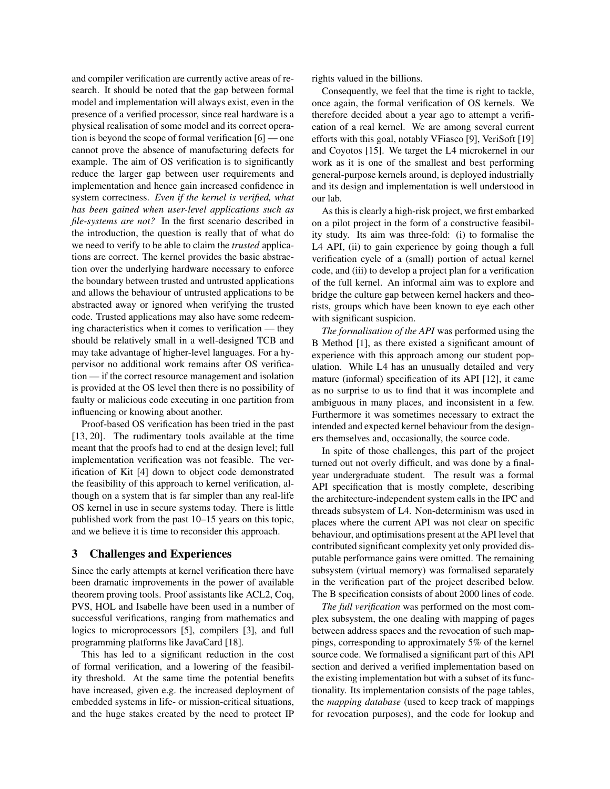and compiler verification are currently active areas of research. It should be noted that the gap between formal model and implementation will always exist, even in the presence of a verified processor, since real hardware is a physical realisation of some model and its correct operation is beyond the scope of formal verification [6] — one cannot prove the absence of manufacturing defects for example. The aim of OS verification is to significantly reduce the larger gap between user requirements and implementation and hence gain increased confidence in system correctness. *Even if the kernel is verified, what has been gained when user-level applications such as file-systems are not?* In the first scenario described in the introduction, the question is really that of what do we need to verify to be able to claim the *trusted* applications are correct. The kernel provides the basic abstraction over the underlying hardware necessary to enforce the boundary between trusted and untrusted applications and allows the behaviour of untrusted applications to be abstracted away or ignored when verifying the trusted code. Trusted applications may also have some redeeming characteristics when it comes to verification — they should be relatively small in a well-designed TCB and may take advantage of higher-level languages. For a hypervisor no additional work remains after OS verification — if the correct resource management and isolation is provided at the OS level then there is no possibility of faulty or malicious code executing in one partition from influencing or knowing about another.

Proof-based OS verification has been tried in the past [13, 20]. The rudimentary tools available at the time meant that the proofs had to end at the design level; full implementation verification was not feasible. The verification of Kit [4] down to object code demonstrated the feasibility of this approach to kernel verification, although on a system that is far simpler than any real-life OS kernel in use in secure systems today. There is little published work from the past 10–15 years on this topic, and we believe it is time to reconsider this approach.

#### 3 Challenges and Experiences

Since the early attempts at kernel verification there have been dramatic improvements in the power of available theorem proving tools. Proof assistants like ACL2, Coq, PVS, HOL and Isabelle have been used in a number of successful verifications, ranging from mathematics and logics to microprocessors [5], compilers [3], and full programming platforms like JavaCard [18].

This has led to a significant reduction in the cost of formal verification, and a lowering of the feasibility threshold. At the same time the potential benefits have increased, given e.g. the increased deployment of embedded systems in life- or mission-critical situations, and the huge stakes created by the need to protect IP rights valued in the billions.

Consequently, we feel that the time is right to tackle, once again, the formal verification of OS kernels. We therefore decided about a year ago to attempt a verification of a real kernel. We are among several current efforts with this goal, notably VFiasco [9], VeriSoft [19] and Coyotos [15]. We target the L4 microkernel in our work as it is one of the smallest and best performing general-purpose kernels around, is deployed industrially and its design and implementation is well understood in our lab.

As this is clearly a high-risk project, we first embarked on a pilot project in the form of a constructive feasibility study. Its aim was three-fold: (i) to formalise the L4 API, (ii) to gain experience by going though a full verification cycle of a (small) portion of actual kernel code, and (iii) to develop a project plan for a verification of the full kernel. An informal aim was to explore and bridge the culture gap between kernel hackers and theorists, groups which have been known to eye each other with significant suspicion.

*The formalisation of the API* was performed using the B Method [1], as there existed a significant amount of experience with this approach among our student population. While L4 has an unusually detailed and very mature (informal) specification of its API [12], it came as no surprise to us to find that it was incomplete and ambiguous in many places, and inconsistent in a few. Furthermore it was sometimes necessary to extract the intended and expected kernel behaviour from the designers themselves and, occasionally, the source code.

In spite of those challenges, this part of the project turned out not overly difficult, and was done by a finalyear undergraduate student. The result was a formal API specification that is mostly complete, describing the architecture-independent system calls in the IPC and threads subsystem of L4. Non-determinism was used in places where the current API was not clear on specific behaviour, and optimisations present at the API level that contributed significant complexity yet only provided disputable performance gains were omitted. The remaining subsystem (virtual memory) was formalised separately in the verification part of the project described below. The B specification consists of about 2000 lines of code.

*The full verification* was performed on the most complex subsystem, the one dealing with mapping of pages between address spaces and the revocation of such mappings, corresponding to approximately 5% of the kernel source code. We formalised a significant part of this API section and derived a verified implementation based on the existing implementation but with a subset of its functionality. Its implementation consists of the page tables, the *mapping database* (used to keep track of mappings for revocation purposes), and the code for lookup and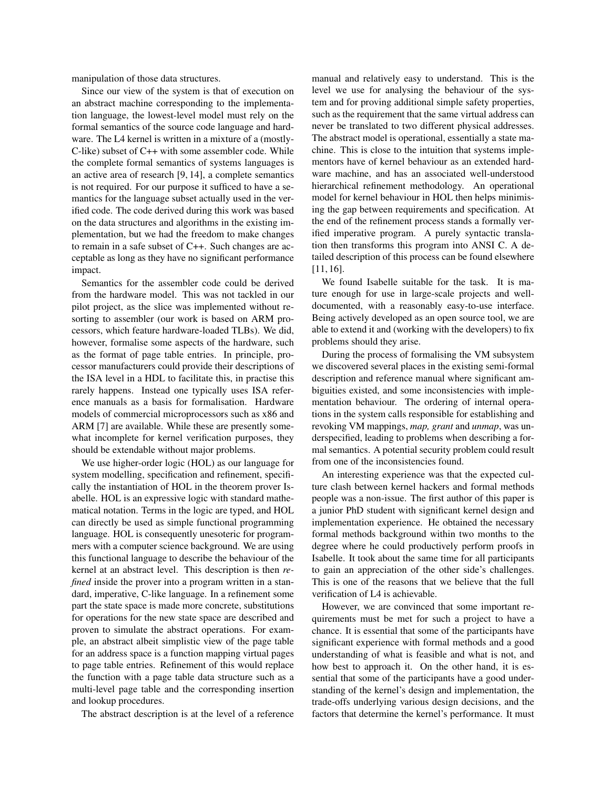manipulation of those data structures.

Since our view of the system is that of execution on an abstract machine corresponding to the implementation language, the lowest-level model must rely on the formal semantics of the source code language and hardware. The L4 kernel is written in a mixture of a (mostly-C-like) subset of C++ with some assembler code. While the complete formal semantics of systems languages is an active area of research [9, 14], a complete semantics is not required. For our purpose it sufficed to have a semantics for the language subset actually used in the verified code. The code derived during this work was based on the data structures and algorithms in the existing implementation, but we had the freedom to make changes to remain in a safe subset of C++. Such changes are acceptable as long as they have no significant performance impact.

Semantics for the assembler code could be derived from the hardware model. This was not tackled in our pilot project, as the slice was implemented without resorting to assembler (our work is based on ARM processors, which feature hardware-loaded TLBs). We did, however, formalise some aspects of the hardware, such as the format of page table entries. In principle, processor manufacturers could provide their descriptions of the ISA level in a HDL to facilitate this, in practise this rarely happens. Instead one typically uses ISA reference manuals as a basis for formalisation. Hardware models of commercial microprocessors such as x86 and ARM [7] are available. While these are presently somewhat incomplete for kernel verification purposes, they should be extendable without major problems.

We use higher-order logic (HOL) as our language for system modelling, specification and refinement, specifically the instantiation of HOL in the theorem prover Isabelle. HOL is an expressive logic with standard mathematical notation. Terms in the logic are typed, and HOL can directly be used as simple functional programming language. HOL is consequently unesoteric for programmers with a computer science background. We are using this functional language to describe the behaviour of the kernel at an abstract level. This description is then *refined* inside the prover into a program written in a standard, imperative, C-like language. In a refinement some part the state space is made more concrete, substitutions for operations for the new state space are described and proven to simulate the abstract operations. For example, an abstract albeit simplistic view of the page table for an address space is a function mapping virtual pages to page table entries. Refinement of this would replace the function with a page table data structure such as a multi-level page table and the corresponding insertion and lookup procedures.

The abstract description is at the level of a reference

manual and relatively easy to understand. This is the level we use for analysing the behaviour of the system and for proving additional simple safety properties, such as the requirement that the same virtual address can never be translated to two different physical addresses. The abstract model is operational, essentially a state machine. This is close to the intuition that systems implementors have of kernel behaviour as an extended hardware machine, and has an associated well-understood hierarchical refinement methodology. An operational model for kernel behaviour in HOL then helps minimising the gap between requirements and specification. At the end of the refinement process stands a formally verified imperative program. A purely syntactic translation then transforms this program into ANSI C. A detailed description of this process can be found elsewhere [11, 16].

We found Isabelle suitable for the task. It is mature enough for use in large-scale projects and welldocumented, with a reasonably easy-to-use interface. Being actively developed as an open source tool, we are able to extend it and (working with the developers) to fix problems should they arise.

During the process of formalising the VM subsystem we discovered several places in the existing semi-formal description and reference manual where significant ambiguities existed, and some inconsistencies with implementation behaviour. The ordering of internal operations in the system calls responsible for establishing and revoking VM mappings, *map, grant* and *unmap*, was underspecified, leading to problems when describing a formal semantics. A potential security problem could result from one of the inconsistencies found.

An interesting experience was that the expected culture clash between kernel hackers and formal methods people was a non-issue. The first author of this paper is a junior PhD student with significant kernel design and implementation experience. He obtained the necessary formal methods background within two months to the degree where he could productively perform proofs in Isabelle. It took about the same time for all participants to gain an appreciation of the other side's challenges. This is one of the reasons that we believe that the full verification of L4 is achievable.

However, we are convinced that some important requirements must be met for such a project to have a chance. It is essential that some of the participants have significant experience with formal methods and a good understanding of what is feasible and what is not, and how best to approach it. On the other hand, it is essential that some of the participants have a good understanding of the kernel's design and implementation, the trade-offs underlying various design decisions, and the factors that determine the kernel's performance. It must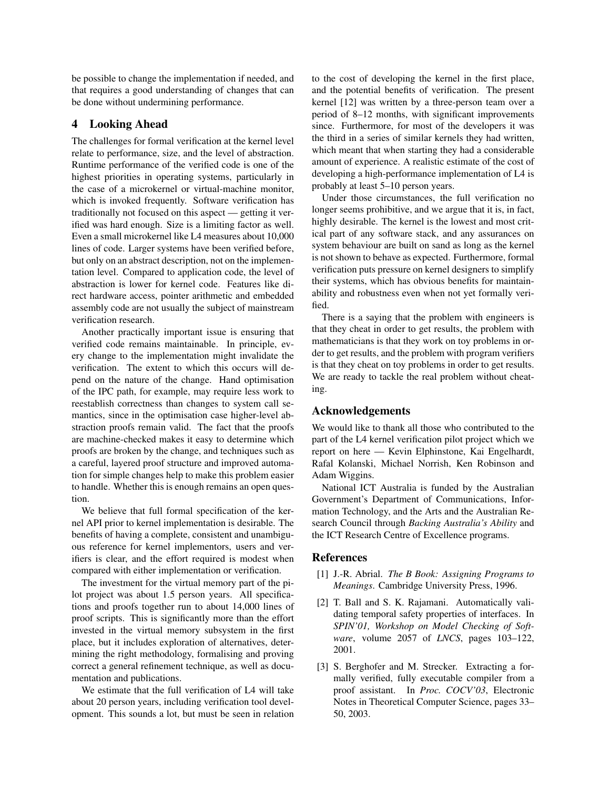be possible to change the implementation if needed, and that requires a good understanding of changes that can be done without undermining performance.

### 4 Looking Ahead

The challenges for formal verification at the kernel level relate to performance, size, and the level of abstraction. Runtime performance of the verified code is one of the highest priorities in operating systems, particularly in the case of a microkernel or virtual-machine monitor, which is invoked frequently. Software verification has traditionally not focused on this aspect — getting it verified was hard enough. Size is a limiting factor as well. Even a small microkernel like L4 measures about 10,000 lines of code. Larger systems have been verified before, but only on an abstract description, not on the implementation level. Compared to application code, the level of abstraction is lower for kernel code. Features like direct hardware access, pointer arithmetic and embedded assembly code are not usually the subject of mainstream verification research.

Another practically important issue is ensuring that verified code remains maintainable. In principle, every change to the implementation might invalidate the verification. The extent to which this occurs will depend on the nature of the change. Hand optimisation of the IPC path, for example, may require less work to reestablish correctness than changes to system call semantics, since in the optimisation case higher-level abstraction proofs remain valid. The fact that the proofs are machine-checked makes it easy to determine which proofs are broken by the change, and techniques such as a careful, layered proof structure and improved automation for simple changes help to make this problem easier to handle. Whether this is enough remains an open question.

We believe that full formal specification of the kernel API prior to kernel implementation is desirable. The benefits of having a complete, consistent and unambiguous reference for kernel implementors, users and verifiers is clear, and the effort required is modest when compared with either implementation or verification.

The investment for the virtual memory part of the pilot project was about 1.5 person years. All specifications and proofs together run to about 14,000 lines of proof scripts. This is significantly more than the effort invested in the virtual memory subsystem in the first place, but it includes exploration of alternatives, determining the right methodology, formalising and proving correct a general refinement technique, as well as documentation and publications.

We estimate that the full verification of L4 will take about 20 person years, including verification tool development. This sounds a lot, but must be seen in relation to the cost of developing the kernel in the first place, and the potential benefits of verification. The present kernel [12] was written by a three-person team over a period of 8–12 months, with significant improvements since. Furthermore, for most of the developers it was the third in a series of similar kernels they had written, which meant that when starting they had a considerable amount of experience. A realistic estimate of the cost of developing a high-performance implementation of L4 is probably at least 5–10 person years.

Under those circumstances, the full verification no longer seems prohibitive, and we argue that it is, in fact, highly desirable. The kernel is the lowest and most critical part of any software stack, and any assurances on system behaviour are built on sand as long as the kernel is not shown to behave as expected. Furthermore, formal verification puts pressure on kernel designers to simplify their systems, which has obvious benefits for maintainability and robustness even when not yet formally verified.

There is a saying that the problem with engineers is that they cheat in order to get results, the problem with mathematicians is that they work on toy problems in order to get results, and the problem with program verifiers is that they cheat on toy problems in order to get results. We are ready to tackle the real problem without cheating.

## Acknowledgements

We would like to thank all those who contributed to the part of the L4 kernel verification pilot project which we report on here — Kevin Elphinstone, Kai Engelhardt, Rafal Kolanski, Michael Norrish, Ken Robinson and Adam Wiggins.

National ICT Australia is funded by the Australian Government's Department of Communications, Information Technology, and the Arts and the Australian Research Council through *Backing Australia's Ability* and the ICT Research Centre of Excellence programs.

#### References

- [1] J.-R. Abrial. *The B Book: Assigning Programs to Meanings*. Cambridge University Press, 1996.
- [2] T. Ball and S. K. Rajamani. Automatically validating temporal safety properties of interfaces. In *SPIN'01, Workshop on Model Checking of Software*, volume 2057 of *LNCS*, pages 103–122, 2001.
- [3] S. Berghofer and M. Strecker. Extracting a formally verified, fully executable compiler from a proof assistant. In *Proc. COCV'03*, Electronic Notes in Theoretical Computer Science, pages 33– 50, 2003.